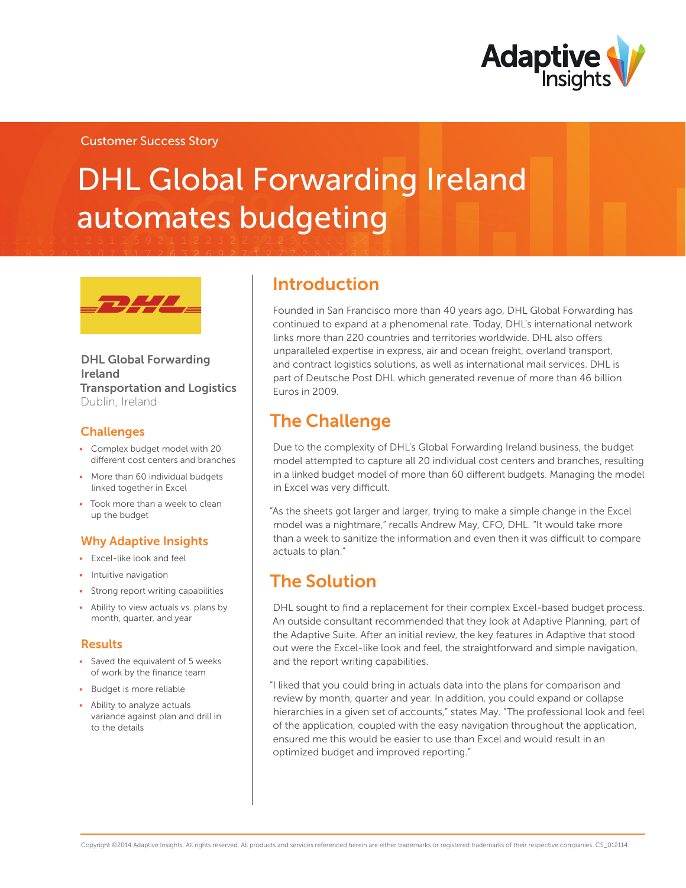

### Customer Success Story

# DHL Global Forwarding Ireland automates budgeting



### DHL Global Forwarding Ireland Transportation and Logistics Dublin, Ireland

### **Challenges**

- • Complex budget model with 20 different cost centers and branches
- More than 60 individual budgets linked together in Excel
- Took more than a week to clean up the budget

### Why Adaptive Insights

- • Excel-like look and feel
- Intuitive navigation
- Strong report writing capabilities
- Ability to view actuals vs. plans by month, quarter, and year

#### Results

- Saved the equivalent of 5 weeks of work by the finance team
- • Budget is more reliable
- Ability to analyze actuals variance against plan and drill in to the details

### Introduction

Founded in San Francisco more than 40 years ago, DHL Global Forwarding has continued to expand at a phenomenal rate. Today, DHL's international network links more than 220 countries and territories worldwide. DHL also offers unparalleled expertise in express, air and ocean freight, overland transport, and contract logistics solutions, as well as international mail services. DHL is part of Deutsche Post DHL which generated revenue of more than 46 billion Euros in 2009.

# The Challenge

Due to the complexity of DHL's Global Forwarding Ireland business, the budget model attempted to capture all 20 individual cost centers and branches, resulting in a linked budget model of more than 60 different budgets. Managing the model in Excel was very difficult.

"As the sheets got larger and larger, trying to make a simple change in the Excel model was a nightmare," recalls Andrew May, CFO, DHL. "It would take more than a week to sanitize the information and even then it was difficult to compare actuals to plan."

### The Solution

DHL sought to find a replacement for their complex Excel-based budget process. An outside consultant recommended that they look at Adaptive Planning, part of the Adaptive Suite. After an initial review, the key features in Adaptive that stood out were the Excel-like look and feel, the straightforward and simple navigation, and the report writing capabilities.

"I liked that you could bring in actuals data into the plans for comparison and review by month, quarter and year. In addition, you could expand or collapse hierarchies in a given set of accounts," states May. "The professional look and feel of the application, coupled with the easy navigation throughout the application, ensured me this would be easier to use than Excel and would result in an optimized budget and improved reporting."

Copyright ©2014 Adaptive Insights. All rights reserved. All products and services referenced herein are either trademarks or registered trademarks of their respective companies. CS\_012114